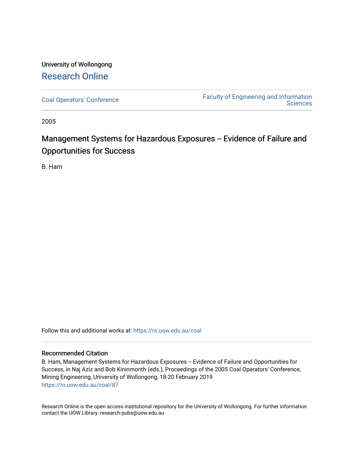# University of Wollongong [Research Online](https://ro.uow.edu.au/)

[Coal Operators' Conference](https://ro.uow.edu.au/coal) [Faculty of Engineering and Information](https://ro.uow.edu.au/eis)  **Sciences** 

2005

# Management Systems for Hazardous Exposures -- Evidence of Failure and Opportunities for Success

B. Ham

Follow this and additional works at: [https://ro.uow.edu.au/coal](https://ro.uow.edu.au/coal?utm_source=ro.uow.edu.au%2Fcoal%2F87&utm_medium=PDF&utm_campaign=PDFCoverPages) 

# Recommended Citation

B. Ham, Management Systems for Hazardous Exposures -- Evidence of Failure and Opportunities for Success, in Naj Aziz and Bob Kininmonth (eds.), Proceedings of the 2005 Coal Operators' Conference, Mining Engineering, University of Wollongong, 18-20 February 2019 [https://ro.uow.edu.au/coal/87](https://ro.uow.edu.au/coal/87?utm_source=ro.uow.edu.au%2Fcoal%2F87&utm_medium=PDF&utm_campaign=PDFCoverPages) 

Research Online is the open access institutional repository for the University of Wollongong. For further information contact the UOW Library: research-pubs@uow.edu.au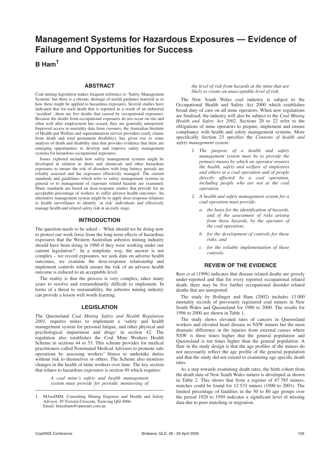# **Management Systems for Hazardous Exposures — Evidence of Failure and Opportunities for Success**

**B Ham1**

#### **ABSTRACT**

Coal mining legislation makes frequent reference to 'Safety Management Systems' but there is a chronic shortage of useful guidance material as to how these might be applied to hazardous exposures. Several studies have indicated that for each death that is reported as a result of an industrial 'accident', there are five deaths that caused by occupational exposures. Because the deaths from occupational exposures do not occur on site and often well after employment has ceased, they are generally unreported. Improved access to mortality data from coroners, the Australian Institute of Health and Welfare and superannuation service providers (early claims from death and total permanent disability), has given rise to some analysis of death and disability data that provides evidence that there are emerging opportunities to develop and improve safety management systems for hazardous occupational exposures.

Issues explored include how safety management systems might be developed in relation to dusts and chemicals and other hazardous exposures to ensure the risk of disorders with long latency periods are reliably assessed and the exposures effectively managed. The current standards and guidelines which refer to safety management systems in general or to management of exposure related hazards are examined. Many standards are based on dose-response studies that provide for an acceptable percentage of workers to suffer adverse health outcomes. An alternative management system might be to apply dose-response relations to health surveillance to identify 'at risk' individuals and effectively manage health and related safety risk at an early stage.

#### **INTRODUCTION**

The question needs to be asked – 'What should we be doing now to protect our work force from the long-term effects of hazardous exposures that the Western Australian asbestos mining industry should have been doing in 1960 if they were working under our current legislation?'. In a simplistic way, the answer is not complex – we record exposures, we seek data on adverse health outcomes, we examine the dose-response relationship and implement controls which ensure the risk of an adverse health outcome is reduced to an acceptable level.

The reality is that the process is very complex, takes many years to resolve and extraordinarily difficult to implement. In terms of a threat to sustainability, the asbestos mining industry can provide a lesson well worth learning.

#### **LEGISLATION**

The Queensland *Coal Mining Safety and Health Regulation 2001*, requires mines to implement a 'safety and health management system for personal fatigue, and other physical and psychological impairment and drugs' in section 42. The regulation also establishes the Coal Mine Workers Health Scheme in sections 44 to 53. This scheme provides for medical practitioners called Nominated Medical Advisers to promote safe operations by assessing workers' fitness to undertake duties without risk to themselves or others. The Scheme also monitors changes in the health of mine workers over time. The key section that relates to hazardous exposures is section 49 which requires:

> *A coal mine's safety and health management system must provide for periodic monitoring of*

#### *the level of risk from hazards at the mine that are likely to create an unacceptable level of risk.*

The New South Wales coal industry is subject to the Occupational Health and Safety Act 2000 which establishes broad duty of care on all mine operators. When new regulations are finalised, the industry will also be subject to the *Coal Mining Health and Safety Act 2002*. Sections 20 to 22 refer to the obligations of mine operators to prepare, implement and ensure compliance with health and safety management systems. More specifically Section 23 specifies the *Contents of health and safety management system:*

- *1. The purpose of a health and safety management system must be to provide the primary means by which an operator ensures the health, safety and welfare of employees and others at a coal operation and of people directly affected by a coal operation, including people who are not at the coal operation.*
- *2. A health and safety management system for a coal operation must provide:*
	- *a. the basis for the identification of hazards, and of the assessment of risks arising from those hazards, by the operator of the coal operation;*
	- *b. for the development of controls for those risks; and*
	- *c. for the reliable implementation of those controls.*

## **REVIEW OF THE EVIDENCE**

Kerr *et al* (1996) indicates that disease related deaths are grossly under-reported and that for every reported occupational related death, there may be five further occupational disorder related deaths that are unreported.

The study by Bofinger and Ham (2002) includes 13 000 mortality records of previously registered coal miners in New South Wales and Queensland for 1980 to 2000. The results for 1996 to 2000 are shown in Table 1.

The study shows elevated rates of cancers in Queensland workers and elevated heart disease in NSW miners but the most dramatic difference in the injuries from external causes where NSW is three times higher that the general population and Queensland is ten times higher than the general population. A flaw in the study design is that the age profiles of the miners do not necessarily reflect the age profile of the general population and that the study did not extend to examining age specific death rates.

As a step towards examining death rates, the birth cohort from the death data of New South Wales miners is developed as shown in Table 2. This shows that from a register of  $67785$  miners, matches could be found for 12 533 miners (1900 to 2001). The limited percentage of fatalities in the 50 to 80 age groups over the period 1920 to 1950 indicates a significant level of missing data due to poor matching or migration.

<sup>1.</sup> MAusIMM, Consulting Mining Engineer and Health and Safety Advisor, 39 Victoria Crescent, Toowong Qld 4066. Email: bruceham@optusnet.com.au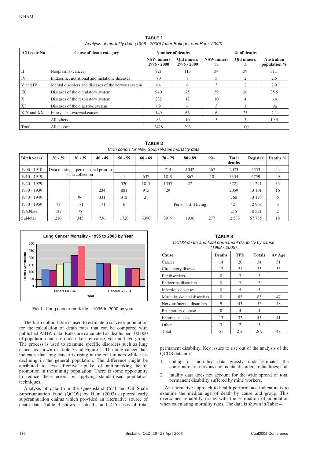| <b>ICD</b> code No | Cause of death category                             | Number of deaths                 |                             | $%$ of deaths             |                    |                               |  |
|--------------------|-----------------------------------------------------|----------------------------------|-----------------------------|---------------------------|--------------------|-------------------------------|--|
|                    |                                                     | <b>NSW</b> miners<br>1996 - 2000 | Old miners<br>$1996 - 2000$ | <b>NSW</b> miners<br>$\%$ | Old miners<br>$\%$ | Australian<br>population $\%$ |  |
| Н                  | Neoplasms (cancer)                                  | 821                              | 113                         | 34                        | 39                 | 31.1                          |  |
| IV                 | Endocrine, nutritional and metabolic diseases       | 70                               |                             | 3                         |                    | 2.5                           |  |
| V and IV           | Mental disorders and diseases of the nervous system | 64                               | 6                           | 3                         |                    | 2.9                           |  |
| IX                 | Diseases of the circulatory system                  | 940                              | 75                          | 39                        | 26                 | 35.5                          |  |
| Х                  | Diseases of the respiratory system                  | 232                              | 12                          | 10                        | 4                  | 6.4                           |  |
| XI                 | Diseases of the digestive system                    | 69                               | 4                           | 3                         |                    | n/a                           |  |
| XIX and XX         | Injury etc – external causes                        | 149                              | 66                          | 6                         | 23                 | 2.1                           |  |
|                    | All others                                          | 83                               | 10                          | $\mathcal{R}$             | $\mathcal{R}$      | 19.5                          |  |
| Total              | All classes                                         | 2428                             | 293                         |                           | 100                |                               |  |

**TABLE 1** Analysis of mortality data (1996 - 2000) (after Bofinger and Ham, 2002).

**TABLE 2** Birth cohort for New South Wales mortality data.

| <b>Birth years</b> | $20 - 29$       | $30 - 39$ | $40 - 49$                            | $50 - 59$ | $60 - 69$ | $70 - 79$ | $80 - 89$            | $90+$ | <b>Total</b><br>deaths | <b>Register</b> | Deaths $\%$ |
|--------------------|-----------------|-----------|--------------------------------------|-----------|-----------|-----------|----------------------|-------|------------------------|-----------------|-------------|
| 1900 - 1910        |                 |           | Data missing – persons died prior to |           |           | 714       | 1042                 | 267   | 2023                   | 4553            | 44          |
| 1910 - 1919        | data collection |           |                                      | 637       | 1819      | 867       | 10                   | 3334  | 6759                   | 49              |             |
| 1920 - 1929        |                 |           |                                      | 520       | 1817      | 1357      | 27                   |       | 3721                   | 11 24 1         | 33          |
| 1930 - 1939        |                 |           | 234                                  | 881       | 915       | 29        |                      |       | 2059                   | 13 101          | 16          |
| 1940 - 1949        |                 | 96        | 331                                  | 312       | 21        |           |                      |       | 760                    | 13 195          | 6           |
| 1950 - 1959        | 73              | 171       | 171                                  | 6         |           |           | Persons still living |       | 421                    | 12 968          | 3           |
| 1960/later         | 137             | 78        |                                      |           |           |           |                      |       | 215                    | 10 5 21         | 2           |
| Subtotal           | 210             | 345       | 736                                  | 1720      | 3390      | 3919      | 1936                 | 277   | 12 5 33                | 67 785          | 18          |



FIG 1 - Lung cancer mortality - 1995 to 2000 by year.

The birth cohort table is used to estimate a survivor population for the calculation of death rates that can be compared with published AIHW data. Rates are calculated as deaths per 100 000 of population and are undertaken by cause, year and age group. The process is used to examine specific disorders such as lung cancer as shown in Table 3 and Figure 1. The lung cancer data indicates that lung cancer is rising in the coal miners while it is declining in the general population. The difference might be attributed to less effective uptake of anti-smoking health promotion in the mining population. There is some opportunity to reduce these errors by applying standardised population techniques.

Analysis of data from the Queensland Coal and Oil Shale Superannuation Fund (QCOS) by Ham (2003) explored early superannuation claims which provided an alternative source of death data. Table 3 shows 51 deaths and 216 cases of total

**TABLE 3** QCOS death and total permanent disability by cause (1998 - 2003).

| <b>Cause</b>               | <b>Deaths</b> | <b>TPD</b>                  | <b>Totals</b> | Av Age |
|----------------------------|---------------|-----------------------------|---------------|--------|
| Cancer                     | 14            | 20                          | 34            | 51     |
| Circulatory disease        | 12            | 21                          | 33            | 53     |
| Ear disorders              | $\Omega$      | 3                           | 3             |        |
| Endocrine disorders        | $\Omega$      | 3                           | 3             |        |
| Infectious diseases        | $\Omega$      | 5                           | 5             |        |
| Musculo-skeletal disorders | $\Omega$      | 83                          | 83            | 47     |
| Nervous/mental disorders   | 9             | 43                          | 52            | 48     |
| Respiratory disease        | $\Omega$      | 4                           | 4             |        |
| <b>External causes</b>     | 13            | 32                          | 45            | 41     |
| Other                      | 3             | $\mathcal{D}_{\mathcal{L}}$ | 5             |        |
| Total                      | 51            | 216                         | 267           | 48     |

permanent disability. Key issues to rise out of the analysis of the QCOS data are:

- 1. coding of mortality data grossly under-estimates the contribution of nervous and mental disorders to fatalities; and
- 2. fatality data does not account for the wide spread of total permanent disability suffered by mine workers.

An alternative approach to health performance indicators is to examine the median age of death by cause and group. This overcomes reliability issues with the estimation of population when calculating mortality rates. The data is shown in Table 4.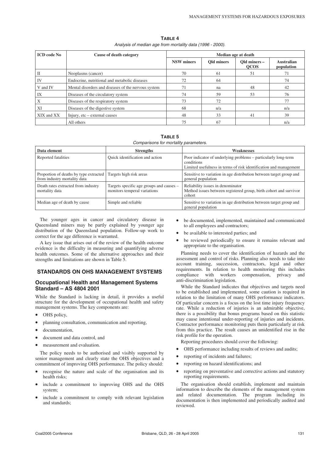**TABLE 4** Analysis of median age from mortality data (1996 - 2000).

| <b>ICD</b> code No | Cause of death category                             | Median age at death |            |                             |                          |  |
|--------------------|-----------------------------------------------------|---------------------|------------|-----------------------------|--------------------------|--|
|                    |                                                     | <b>NSW</b> miners   | Old miners | Old miners -<br><b>OCOS</b> | Australian<br>population |  |
| Н                  | Neoplasms (cancer)                                  | 70                  | 61         | 51                          | 71                       |  |
| IV                 | Endocrine, nutritional and metabolic diseases       | 72                  | 64         |                             | 74                       |  |
| V and IV           | Mental disorders and diseases of the nervous system | 71                  | na         | 48                          | 42                       |  |
| IX                 | Diseases of the circulatory system                  | 74                  | 59         | 53                          | 76                       |  |
|                    | Diseases of the respiratory system                  | 73                  | 72         |                             | 77                       |  |
| XI                 | Diseases of the digestive system                    | 68                  | n/a        |                             | n/a                      |  |
| XIX and XX         | Injury, etc – external causes                       | 48                  | 33         | 41                          | 39                       |  |
|                    | All others                                          | 75                  | 67         |                             | n/a                      |  |

**TABLE 5**

Comparisons for mortality parameters.

| Data element                                                           | <b>Strengths</b>                                                         | <b>Weaknesses</b>                                                                                                                                 |
|------------------------------------------------------------------------|--------------------------------------------------------------------------|---------------------------------------------------------------------------------------------------------------------------------------------------|
| Reported fatalities                                                    | Quick identification and action                                          | Poor indicator of underlying problems – particularly long-term<br>conditions<br>Limited usefulness in terms of risk identification and management |
| Proportion of deaths by type extracted<br>from industry mortality data | Targets high risk areas                                                  | Sensitive to variation in age distribution between target group and<br>general population                                                         |
| Death rates extracted from industry<br>mortality data                  | Targets specific age groups and causes –<br>monitors temperal variations | Reliability issues in denominator<br>Method issues between registered group, birth cohort and survivor<br>cohort                                  |
| Median age of death by cause                                           | Simple and reliable                                                      | Sensitive to variation in age distribution between target group and<br>general population                                                         |

The younger ages in cancer and circulatory disease in Queensland miners may be partly explained by younger age distribution of the Queensland population. Follow-up work to correct for the age difference is warranted.

A key issue that arises out of the review of the health outcome evidence is the difficulty in measuring and quantifying adverse health outcomes. Some of the alternative approaches and their strengths and limitations are shown in Table  $\bar{5}$ .

## **STANDARDS ON OHS MANAGEMENT SYSTEMS**

#### **Occupational Health and Management Systems Standard – AS 4804 2001**

While the Standard is lacking in detail, it provides a useful structure for the development of occupational health and safety management systems. The key components are:

- OHS policy,
- planning consultation, communication and reporting,
- documentation,
- document and data control, and
- measurement and evaluation.

The policy needs to be authorised and visibly supported by senior management and clearly state the OHS objectives and a commitment of improving OHS performance. The policy should:

- recognise the nature and scale of the organisation and its health risks;
- include a commitment to improving OHS and the OHS system;
- include a commitment to comply with relevant legislation and standards;
- be documented, implemented, maintained and communicated to all employees and contractors;
- be available to interested parties; and
- be reviewed periodically to ensure it remains relevant and appropriate to the organisation.

Planning needs to cover the identification of hazards and the assessment and control of risks. Planning also needs to take into account training, succession, contractors, legal and other requirements. In relation to health monitoring this includes compliance with workers compensation, privacy and anti-discrimination legislation.

While the Standard indicates that objectives and targets need to be established and implemented, some caution is required in relation to the limitation of many OHS performance indicators. Of particular concern is a focus on the lost time injury frequency rate. While a reduction of injuries is an admirable objective, there is a possibility that bonus programs based on this statistic may cause intentional under-reporting of injuries and incidents. Contractor performance monitoring puts them particularly at risk from this practice. The result causes an unidentified rise in the risk profile for the operation.

Reporting procedures should cover the following:

- OHS performance including results of reviews and audits;
- reporting of incidents and failures;
- reporting on hazard identifications; and
- reporting on preventative and corrective actions and statutory reporting requirements.

The organisation should establish, implement and maintain information to describe the elements of the management system and related documentation. The program including its documentation is then implemented and periodically audited and reviewed.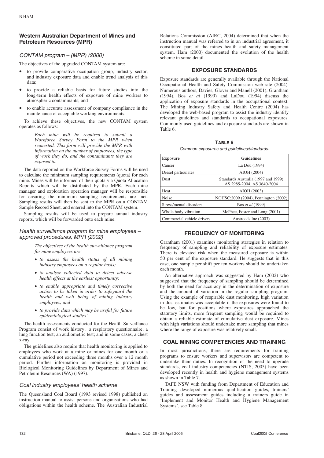## **Western Australian Department of Mines and Petroleum Resources (MPR)**

# CONTAM program – (MPR) (2000)

The objectives of the upgraded CONTAM system are:

- to provide comparative occupation group, industry sector, and industry exposure data and enable trend analysis of this data;
- to provide a reliable basis for future studies into the long-term health effects of exposure of mine workers to atmospheric contaminants; and
- to enable accurate assessment of company compliance in the maintenance of acceptable working environments.

To achieve these objectives, the new CONTAM system operates as follows:

> *Each mine will be required to submit a Workforce Survey Form to the MPR when requested. This form will provide the MPR with information on the number of employees, the type of work they do, and the contaminants they are exposed to.*

The data reported on the Workforce Survey Forms will be used to calculate the minimum sampling requirements (quota) for each mine. Mines will be informed of their quota via Quota Allocation Reports which will be distributed by the MPR. Each mine manager and exploration operation manager will be responsible for ensuring the minimum sampling requirements are met. Sampling results will then be sent to the MPR on a CONTAM Sample Record Sheet, and entered into the CONTAM system.

Sampling results will be used to prepare annual industry reports, which will be forwarded onto each mine.

## Health surveillance program for mine employees – approved procedures, MPR (2002)

*The objectives of the health surveillance program for mine employees are:*

- *to assess the health status of all mining industry employees on a regular basis;*
- *to analyse collected data to detect adverse health effects at the earliest opportunity;*
- *to enable appropriate and timely corrective action to be taken in order to safeguard the health and well being of mining industry employees; and*
- *to provide data which may be useful for future epidemiological studies'.*

The health assessments conducted for the Health Surveillance Program consist of work history; a respiratory questionnaire; a lung function test; an audiometric test; and in some cases, a chest x-ray.

The guidelines also require that health monitoring is applied to employees who work at a mine or mines for one month or a cumulative period not exceeding three months over a 12 month period. Further information on monitoring is provided in Biological Monitoring Guidelines by Department of Mines and Petroleum Resources (WA) (1997).

## Coal industry employees' health scheme

The Queensland Coal Board (1993 revised 1998) published an instruction manual to assist persons and organisations who had obligations within the health scheme. The Australian Industrial Relations Commission (AIRC, 2004) determined that when the instruction manual was referred to in an industrial agreement, it constituted part of the mines health and safety management system. Ham (2000) documented the evolution of the health scheme in some detail.

## **EXPOSURE STANDARDS**

Exposure standards are generally available through the National Occupational Health and Safety Commission web site (2004). Numerous authors, Davies, Glover and Manell (2001), Grantham (1994), Bos *et al* (1999) and LaDou (1994) discuss the application of exposure standards in the occupational context. The Mining Industry Safety and Health Centre (2004) has developed the web-based program to assist the industry identify relevant guidelines and standards to occupational exposures. Commonly used guidelines and exposure standards are shown in Table 6.

**TABLE 6**

Common exposures and guidelines/standards.

| <b>Exposure</b>            | <b>Guidelines</b>                                                 |
|----------------------------|-------------------------------------------------------------------|
| Cancer                     | La Dou (1994)                                                     |
| Diesel particulates        | AIOH (2004)                                                       |
| <b>Dust</b>                | Standards Australia (1997 and 1999)<br>AS 2985-2004, AS 3640-2004 |
| Heat                       | AIOH (2003)                                                       |
| <b>Noise</b>               | NOHSC: 2009 (2004), Pennington (2002)                             |
| Stress/mental disorders    | Bos et al (1999)                                                  |
| Whole body vibration       | McPhee, Foster and Long (2001)                                    |
| Commercial vehicle drivers | Austroads Inc (2003)                                              |

## **FREQUENCY OF MONITORING**

Grantham (2001) examines monitoring strategies in relation to frequency of sampling and reliability of exposure estimates. There is elevated risk when the measured exposure is within 50 per cent of the exposure standard. He suggests that in this case, one sample per shift per ten workers should be undertaken each month.

An alternative approach was suggested by Ham (2002) who suggested that the frequency of sampling should be determined by both the need for accuracy in the determination of exposure and the amount of variation in the regular sampling program. Using the example of respirable dust monitoring, high variation in dust estimates was acceptable if the exposures were found to be low, but for positions where exposures approached the statutory limits, more frequent sampling would be required to obtain a reliable estimate of cumulative dust exposure. Mines with high variations should undertake more sampling that mines where the range of exposure was relatively small.

# **COAL MINING COMPETENCIES AND TRAINING**

In most jurisdictions, there are requirements for training programs to ensure workers and supervisors are competent to undertake their duties. In recognition of the need to upgrade standards, coal industry competencies (NTIS, 2005) have been developed recently in health and hygiene management systems as shown in Table 7.

TAFE NSW with funding from Department of Education and Training developed numerous qualification guides, trainers' guides and assessment guides including a trainers guide in 'Implement and Monitor Health and Hygiene Management Systems', see Table 8.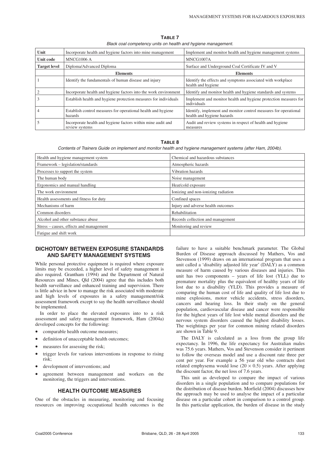**TABLE 7** Black coal competency units on health and hygiene management.

| Unit                | Incorporate health and hygiene factors into mine management                    | Implement and monitor health and hygiene management systems                                    |
|---------------------|--------------------------------------------------------------------------------|------------------------------------------------------------------------------------------------|
| <b>Unit code</b>    | MNCG1006 A                                                                     | MNCG1007A                                                                                      |
| <b>Target level</b> | Diploma/Advanced Diploma                                                       | Surface and Underground Coal Certificate IV and V                                              |
|                     | <b>Elements</b>                                                                | <b>Elements</b>                                                                                |
|                     | Identify the fundamentals of human disease and injury                          | Identify the effects and symptoms associated with workplace<br>health and hygiene              |
|                     | Incorporate health and hygiene factors into the work environment               | Identify and monitor health and hygiene standards and systems                                  |
|                     | Establish health and hygiene protection measures for individuals               | Implement and monitor health and hygiene protection measures for<br>individuals                |
|                     | Establish control measures for operational health and hygiene<br>hazards       | Identify, implement and monitor control measures for operational<br>health and hygiene hazards |
|                     | Incorporate health and hygiene factors within mine audit and<br>review systems | Audit and review systems in respect of health and hygiene<br>measures                          |

#### **TABLE 8**

Contents of Trainers Guide on implement and monitor health and hygiene management systems (after Ham, 2004b).

| Health and hygiene management system    | Chemical and hazardous substances   |
|-----------------------------------------|-------------------------------------|
| Framework – legislation/standards       | Atmospheric hazards                 |
| Processes to support the system         | Vibration hazards                   |
| The human body                          | Noise management                    |
| Ergonomics and manual handling          | Heat/cold exposure                  |
| The work environment                    | Ionizing and non-ionizing radiation |
| Health assessments and fitness for duty | Confined spaces                     |
| Mechanisms of harm                      | Injury and adverse health outcomes  |
| Common disorders                        | Rehabilitation                      |
| Alcohol and other substance abuse       | Records collection and management   |
| Stress – causes, effects and management | Monitoring and review               |
| Fatigue and shift work                  |                                     |

#### **DICHOTOMY BETWEEN EXPOSURE STANDARDS AND SAFETY MANAGEMENT SYSTEMS**

While personal protective equipment is required where exposure limits may be exceeded, a higher level of safety management is also required. Grantham (1994) and the Department of Natural Resources and Mines, Qld (2004) agree that this includes both health surveillance and enhanced training and supervision. There is little advice in how to manage the risk associated with moderate and high levels of exposures in a safety management/risk assessment framework except to say the health surveillance should be implemented.

In order to place the elevated exposures into to a risk assessment and safety management framework, Ham (2004a) developed concepts for the following:

- comparable health outcome measures;
- definition of unacceptable health outcomes:
- measures for assessing the risk;
- trigger levels for various interventions in response to rising risk;
- development of interventions; and
- agreement between management and workers on the monitoring, the triggers and interventions.

#### **HEALTH OUTCOME MEASURES**

One of the obstacles in measuring, monitoring and focusing resources on improving occupational health outcomes is the failure to have a suitable benchmark parameter. The Global Burden of Disease approach discussed by Mathers, Vos and Stevenson (1999) draws on an international program that uses a unit called a 'disability adjusted life year' (DALY) as a common measure of harm caused by various diseases and injuries. This unit has two components – years of life lost (YLL) due to premature mortality plus the equivalent of healthy years of life lost due to a disability (YLD). This provides a measure of comparing the human cost of life and quality of life lost due to mine explosions, motor vehicle accidents, stress disorders, cancers and hearing loss. In their study on the general population, cardiovascular disease and cancer were responsible for the highest years of life lost while mental disorders and the nervous system disorders caused the highest disability losses. The weightings per year for common mining related disorders are shown in Table 9.

The DALY is calculated as a loss from the group life expectancy. In 1996, the life expectancy for Australian males was 75.6 years. Mathers, Vos and Stevenson consider it pertinent to follow the overseas model and use a discount rate three per cent per year. For example a 56 year old who contracts dust related emphysema would lose  $(20 \times 0.5)$  years. After applying the discount factor, the net loss of 7.6 years.

This unit as developed to compare the impact of various disorders in a single population and to compare populations for the distribution of disease burden. Morfield (2004) discusses how the approach may be used to analyse the impact of a particular disease on a particular cohort in comparison to a control group. In this particular application, the burden of disease in the study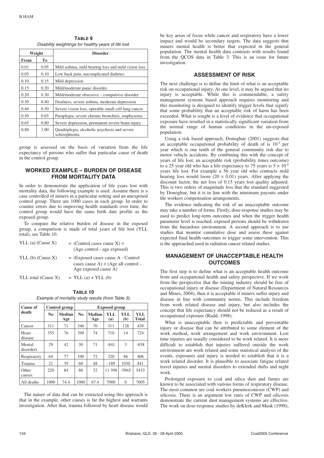**TABLE 9** Disability weightings for healthy years of life lost.

| Weight |      | <b>Disorder</b>                                               |
|--------|------|---------------------------------------------------------------|
| From   | Tо   |                                                               |
| 0.01   | 0.05 | Mild asthma, mild hearing loss and mild vision loss           |
| 0.05   | 0.10 | Low back pain, uncomplicated diabetes                         |
| 0.10   | 0.15 | Mild depression                                               |
| 0.15   | 0.20 | Mild/moderate panic disorder                                  |
| 0.20   | 0.30 | Mild/moderate obsessive – compulsive disorder                 |
| 0.30   | 0.40 | Deafness, severe asthma, moderate depression                  |
| 0.40   | 0.50 | Severe vision loss, operable small cell lung cancer           |
| 0.50   | 0.65 | Paraplegia, severe chronic bronchitis, emphysema              |
| 0.65   | 0.80 | Severe depression, permanent severe brain injury              |
| 0.80   | 1.00 | Quadriplegia, alcoholic psychosis and severe<br>schizophrenia |

group is assessed on the basis of variation from the life expectancy of persons who suffer that particular cause of death in the control group.

## **WORKED EXAMPLE – BURDEN OF DISEASE FROM MORTALITY DATA**

In order to demonstrate the application of life years lost with mortality data, the following example is used. Assume there is a case controlled of miners in a particular setting and an unexposed control group. There are 1000 cases in each group. In order to counter errors due to improving health standards over time, the control group would have the same birth date profile as the exposed group.

To compare the relative burden of disease in the exposed group, a comparison is made of total years of life lost (YLL total), see Table 10.

| YLL (a) $(Cause X)$ | $=$ (Control cases cause X) $\times$<br>(Age control - age exposed)                                                |
|---------------------|--------------------------------------------------------------------------------------------------------------------|
| $YLL$ (b) (Cause X) | $=$ (Exposed cases cause A - Control<br>cases cause $A) \times (Age \text{ all control -}$<br>Age exposed cause A) |
| YLL total (Cause X) | $= YLL(a) + YLL(b)$                                                                                                |

| TABLE 10                                           |  |
|----------------------------------------------------|--|
| Example of mortality study results (from Table 3). |  |

| Cause of            |                | Control group        | <b>Exposed group</b> |                      |            |            |                     |
|---------------------|----------------|----------------------|----------------------|----------------------|------------|------------|---------------------|
| death               | N <sub>0</sub> | <b>Median</b><br>Age | N <sub>0</sub>       | <b>Median</b><br>Age | YLL<br>(a) | YLL<br>(b) | YLL<br><b>Total</b> |
| Cancer              | 311            | 71                   | 340                  | 70                   | 311        | 128        | 439                 |
| Heart<br>disease    | 355            | 76                   | 390                  | 74                   | 710        | 14         | 724                 |
| Mental<br>disorders | 29             | 42                   | 30                   | 71                   | $-841$     | 3          | $-838$              |
| Respiratory         | 64             | 77                   | 100                  | 72                   | 320        | 86         | 406                 |
| Trauma              | 21             | 39                   | 60                   | 48                   | $-189$     | 1030       | 841                 |
| Other<br>causes     | 220            | 84                   | 80                   | 32                   | 11 398     | $-5965$    | 5433                |
| All deaths          | 1000           | 74.4                 | 1000                 | 67.4                 | 7000       | $\Omega$   | 7005                |

The nature of data that can be extracted using this approach is that in the example, other causes is far the highest and warrants investigation. After that, trauma followed by heart disease would be key areas of focus while cancer and respiratory have a lower impact and would be secondary targets. The data suggests that miners mental health is better that expected in the general population. The mental health data contrasts with results found from the QCOS data in Table 3. This is an issue for future investigation.

## **ASSESSMENT OF RISK**

The next challenge is to define the limit of what is an acceptable risk on occupational injury. At one level, it may be argued that no injury is acceptable. While this is commendable, a safety management systems based approach requires monitoring and this monitoring is designed to identify trigger levels that signify that some probability that an acceptable risk of harm has been exceeded. What is sought is a level of evidence that occupational exposure have resulted in a statistically significant variation from the normal range of human conditions in the un-exposed population.

Using a risk based approach, Donoghue (2001) suggests that an acceptable occupational probability of death of is 10-5 per year which is one tenth of the general community risk due to motor vehicle accidents. By combining this with the concept of years of life lost, an acceptable risk (probability times outcome) to a 25 year old who has a life expectancy to 75 years is  $5 \times 10^{-4}$ years life lost. For example a 56 year old who contracts mild hearing loss would loose  $(20 \times 0.01)$  years. After applying the discount factor, the net loss of 0.15 years lost quality adjusted. This is two orders of magnitude less that the standard suggested by Donoghue, but it is in line with the minimum payouts under the workers compensation arrangements.

The evidence indicating the risk of an unacceptable outcome may take a number of forms. Firstly, dose-response studies may be used to predict long-term outcomes and when the trigger health parameter level is reached, exposed persons should be withdrawn from the hazardous environment. A second approach is to use studies that monitor cumulative dose and assess these against expected final health outcomes to trigger some intervention. This is the approached used in radiation cancer related studies.

## **MANAGEMENT OF UNACCEPTABLE HEALTH OUTCOMES**

The first step is to define what is an acceptable health outcome from and occupational health and safety perspective. If we work from the perspective that the mining industry should be free of occupational injury or disease (Department of Natural Resources and Mines, 2004), then it is acceptable if miners suffer injury and disease in line with community norms. This include freedom from work related disease and injury, but also includes the concept that life expectancy should not be reduced as a result of occupational exposure (Rudd, 1998).

What is unacceptable then is predictable and preventable injury or disease that can be attributed to some element of the work method, work arrangement and work environment. Lost time injuries are usually considered to be work related. It is more difficult to establish that injuries suffered outside the work environment are work related and some statistical analysis of the events, exposures and injury is needed to establish that it is a work related disorder. It is plausible to associate fatigue related travel injuries and mental disorders to extended shifts and night work.

Prolonged exposure to coal and silica dust and fumes are known to be associated with various forms of respiratory disease. The most common are coal workers pneumoconiosis (CWP) and silicosis. There is an argument low rates of CWP and silicosis demonstrate the current dust management systems are effective. The work on dose-response studies by deKlerk and Musk (1998),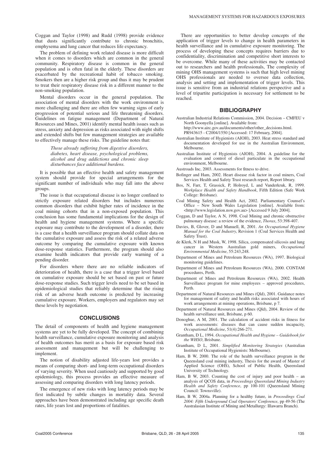Coggan and Taylor (1998) and Rudd (1998) provide evidence that dusts significantly contribute to chronic bronchitis, emphysema and lung cancer that reduces life expectancy.

The problem of defining work related disease is more difficult when it comes to disorders which are common in the general community. Respiratory disease is common in the general population and is often fatal in the elderly. These disorders are exacerbated by the recreational habit of tobacco smoking. Smokers then are a higher risk group and thus it may be prudent to treat their respiratory disease risk in a different manner to the non-smoking population.

Mental disorders occur in the general population. The association of mental disorders with the work environment is more challenging and there are often few warning signs of early progression of potential serious and life threatening disorders. Guidelines on fatigue management (Department of Natural Resources and Mines, 2001) identify mental health issues such as stress, anxiety and depression as risks associated with night shifts and extended shifts but few management strategies are available to effectively manage these risks. The guideline notes that:

> *Those already suffering from digestive disorders, diabetes, heart disease, psychological problems, alcohol and drug addictions and chronic sleep disturbances face additional burdens.*

It is possible that an effective health and safety management system should provide for special arrangements for the significant number of individuals who may fall into the above groups.

The issue is that occupational disease is no longer confined to strictly exposure related disorders but includes numerous common disorders that exhibit higher rates of incidence in the coal mining cohorts that in a non-exposed population. This conclusion has some fundamental implications for the design of health and hygiene management systems. Where a specific exposure may contribute to the development of a disorder, there is a case that a health surveillance program should collate data on the cumulative exposure and assess the risk of a related adverse outcome by comparing the cumulative exposure with known dose-response statistics. Furthermore, the program should also examine health indicators that provide early warning of a pending disorder.

For disorders where there are no reliable indicators of deterioration of health, there is a case that a trigger level based on cumulative exposure should be set based on past or future dose-response studies. Such trigger levels need to be set based in epidemiological studies that reliably determine that the rising risk of an adverse heath outcome is predicted by increasing cumulative exposure. Workers, employers and regulators may set these levels by negotiation.

## **CONCLUSIONS**

The detail of components of health and hygiene management systems are yet to be fully developed. The concept of combining health surveillance, cumulative exposure monitoring and analysis of health outcomes has merit as a basis for exposure based risk assessment and management but will be challenging to implement.

The notion of disability adjusted life-years lost provides a means of comparing short- and long-term occupational disorders of varying severity. When used cautiously and supported by good epidemiology, this process provides an effective measure of assessing and comparing disorders with long latency periods.

The emergence of new risks with long latency periods may be first indicated by subtle changes in mortality data. Several approaches have been demonstrated including age specific death rates, life years lost and proportions of fatalities.

There are opportunities to better develop concepts of the application of trigger levels to change in health parameters in health surveillance and in cumulative exposure monitoring. The process of developing these concepts requires barriers due to confidentiality, discrimination and competitive short interests to be overcome. While many of these activities may be contacted out to researchers and health professionals, The complexity of mining OHS management systems is such that high level mining OHS professionals are needed to oversee data collection, analysis and setting and implementation of trigger levels. This issue is sensitive from an industrial relations perspective and a level of tripartite participation is necessary for settlement to be reached.

#### **BIBLIOGRAPHY**

Australian Industrial Relations Commission, 2004. Decision – CMFEU v North Goonyella [online]. Available from: http://www.airc.gov.au/documents/other/other\_decisions.html.

PR943615 - C2004/1550 [Accessed: 17 February, 2004].

- Australian Institute of Hygienists (AIOH), 2003. Heat stress standard and documentation developed for use in the Australian Environment, Melbourne.
- Australian Institute of Hygienists (AIOH), 2004. A guideline for the evaluation and control of diesel particulate in the occupational environment, Melbourne.
- Austroads Inc, 2003. Assessments for fitness to drive.
- Bofinger and Ham, 2002. Heart disease risk factor in coal miners, Coal Services Health and Safety Trust research report, Report library.
- Bos, N, Farr, T, Grassick, P, Holroyd, L and Vanderkruk, R, 1999. *Workplace Health and Safety Handbook*, Fifth Edition (Safe Work College: Brisbane).
- Coal Mining Safety and Health Act, 2002. Parliamentary Counsel's Office – New South Wales Legislation [online]. Available from: <http://www.legislation.nsw.gov.au> [Accessed 9 July 2004].
- Coggan, D and Taylor, A N, 1998. Coal Mining and chronic obstructive pulmonary disease: a review of the evidence, *Thorax*, 53:398-407.
- Davies, B, Glover, D and Manuell, R, 2001. *An Occupational Hygiene Manual for the Coal Industry*, Revision 1 (Coal Services Health and Safety Trust).
- de Klerk, N H and Musk, W, 1998. Silica, compensated silicosis and lung cancer in Western Australian gold miners, *Occupational Environmental Medicine*, 55:243,248.
- Department of Mines and Petroleum Resources (WA), 1997. Biological monitoring guidelines.
- Department of Mines and Petroleum Resources (WA), 2000. CONTAM procedures, Perth.
- Department of Mines and Petroleum Resources (WA), 2002. Health Surveillance program for mine employees – approved procedures, Perth.
- Department of Natural Resources and Mines (Qld), 2001. Guidance notes for management of safety and health risks associated with hours of work arrangements at mining operations, Brisbane, p 7.
- Department of Natural Resources and Mines (Qld), 2004. Review of the health surveillance unit, Brisbane, p 60.
- Donoghue, A M, 2001. The calculation of accident risks in fitness for work assessments: diseases that can cause sudden incapacity, *Occupational Medicine*, 51(4):266-271.
- Grantham, D L, 1994. *Occupational Health and Hygiene Guidebook for the WHSO*, Brisbane.
- Grantham, D L, 2001. *Simplified Monitoring Strategies* (Australian Institute of Occupational Hygienists: Melbourne).
- Ham, B W, 2000. The role of the health surveillance program in the Queensland coal mining industry, Thesis for the award of Master of Applied Science (OHS), School of Public Health, Queensland University of Technology.
- Ham, B W, 2003. Counting the cost of injury and poor health an analysis of QCOS data, in *Proceedings Queensland Mining Industry Health and Safety Conference*, pp 100-101 (Queensland Mining Council: Townsville).
- Ham, B W, 2004a. Planning for a healthy future, in *Proceedings Coal 2004: Fifth Underground Coal Operators' Conference*, pp 49-56 (The Australasian Institute of Mining and Metallurgy: Illawarra Branch).